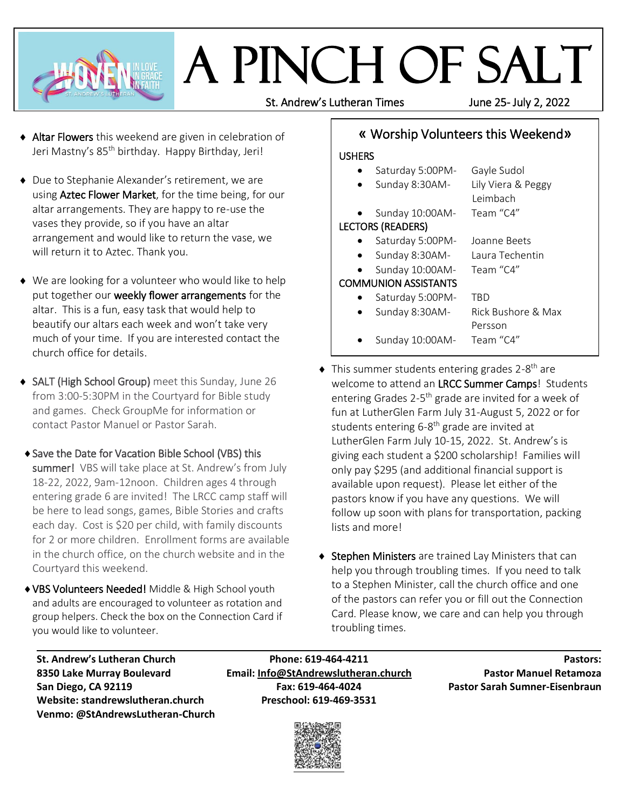

# A Pinch of Salt

St. Andrew's Lutheran Times June 25- July 2, 2022

- ◆ Altar Flowers this weekend are given in celebration of Jeri Mastny's 85<sup>th</sup> birthday. Happy Birthday, Jeri!
- ◆ Due to Stephanie Alexander's retirement, we are using **Aztec Flower Market**, for the time being, for our altar arrangements. They are happy to re-use the vases they provide, so if you have an altar arrangement and would like to return the vase, we will return it to Aztec. Thank you.
- ◆ We are looking for a volunteer who would like to help put together our weekly flower arrangements for the altar. This is a fun, easy task that would help to beautify our altars each week and won't take very much of your time. If you are interested contact the church office for details.
- ◆ SALT (High School Group) meet this Sunday, June 26 from 3:00-5:30PM in the Courtyard for Bible study and games. Check GroupMe for information or contact Pastor Manuel or Pastor Sarah.
- ◆ Save the Date for Vacation Bible School (VBS) this summer! VBS will take place at St. Andrew's from July 18-22, 2022, 9am-12noon. Children ages 4 through entering grade 6 are invited! The LRCC camp staff will be here to lead songs, games, Bible Stories and crafts each day. Cost is \$20 per child, with family discounts for 2 or more children. Enrollment forms are available in the church office, on the church website and in the Courtyard this weekend.
- VBS Volunteers Needed! Middle & High School youth and adults are encouraged to volunteer as rotation and group helpers. Check the box on the Connection Card if you would like to volunteer.

# «Worship Volunteers this Weekend»

#### **USHERS**

- Saturday 5:00PM- Gayle Sudol Sunday 8:30AM- Lily Viera & Peggy Leimbach Sunday 10:00AM- Team "C4" LECTORS (READERS) Saturday 5:00PM- Joanne Beets Sunday 8:30AM- Laura Techentin Sunday 10:00AM- Team "C4" COMMUNION ASSISTANTS Saturday 5:00PM- TBD Sunday 8:30AM- Rick Bushore & Max Persson Sunday 10:00AM- Team "C4"
- $\blacklozenge$  This summer students entering grades 2-8<sup>th</sup> are welcome to attend an LRCC Summer Camps! Students entering Grades 2-5<sup>th</sup> grade are invited for a week of fun at LutherGlen Farm July 31-August 5, 2022 or for students entering 6-8<sup>th</sup> grade are invited at LutherGlen Farm July 10-15, 2022. St. Andrew's is giving each student a \$200 scholarship! Families will only pay \$295 (and additional financial support is available upon request). Please let either of the pastors know if you have any questions. We will follow up soon with plans for transportation, packing lists and more!
- ◆ Stephen Ministers are trained Lay Ministers that can help you through troubling times. If you need to talk to a Stephen Minister, call the church office and one of the pastors can refer you or fill out the Connection Card. Please know, we care and can help you through troubling times.

**Website: standrewslutheran.church Preschool: 619-469-3531 Venmo: @StAndrewsLutheran-Church**

**St. Andrew's Lutheran Church Phone: 619-464-4211 Pastors: 8350 Lake Murray Boulevard Email: [Info@StAndrewslutheran.church](mailto:Info@StAndrewslutheran.church) Pastor Manuel Retamoza San Diego, CA 92119 Fax: 619-464-4024 Pastor Sarah Sumner-Eisenbraun**